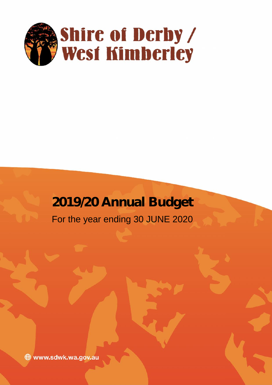

# **2019/20 Annual Budget**

For the year ending 30 JUNE 2020

www.sdwk.wa.gov.au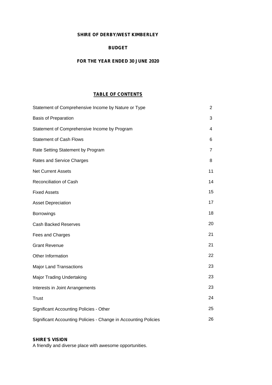# **SHIRE OF DERBY/WEST KIMBERLEY**

# **BUDGET**

# **FOR THE YEAR ENDED 30 JUNE 2020**

# **TABLE OF CONTENTS**

| Statement of Comprehensive Income by Nature or Type             | 2  |
|-----------------------------------------------------------------|----|
| <b>Basis of Preparation</b>                                     | 3  |
| Statement of Comprehensive Income by Program                    | 4  |
| <b>Statement of Cash Flows</b>                                  | 6  |
| Rate Setting Statement by Program                               | 7  |
| Rates and Service Charges                                       | 8  |
| <b>Net Current Assets</b>                                       | 11 |
| Reconciliation of Cash                                          | 14 |
| <b>Fixed Assets</b>                                             | 15 |
| <b>Asset Depreciation</b>                                       | 17 |
| Borrowings                                                      | 18 |
| <b>Cash Backed Reserves</b>                                     | 20 |
| Fees and Charges                                                | 21 |
| <b>Grant Revenue</b>                                            | 21 |
| Other Information                                               | 22 |
| <b>Major Land Transactions</b>                                  | 23 |
| <b>Major Trading Undertaking</b>                                | 23 |
| Interests in Joint Arrangements                                 | 23 |
| <b>Trust</b>                                                    | 24 |
| <b>Significant Accounting Policies - Other</b>                  | 25 |
| Significant Accounting Policies - Change in Accounting Policies | 26 |

# **SHIRE'S VISION**

A friendly and diverse place with awesome opportunities.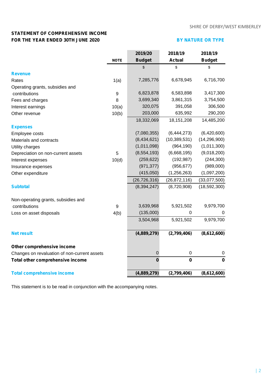# **STATEMENT OF COMPREHENSIVE INCOME FOR THE YEAR ENDED 30TH JUNE 2020 BY NATURE OR TYPE**

|                                              |                  | 2019/20        | 2018/19        | 2018/19        |
|----------------------------------------------|------------------|----------------|----------------|----------------|
|                                              | <b>NOTE</b>      | <b>Budget</b>  | <b>Actual</b>  | <b>Budget</b>  |
|                                              |                  | \$             | \$             | \$             |
| <b>Revenue</b>                               |                  |                |                |                |
| Rates                                        | 1(a)             | 7,285,776      | 6,678,945      | 6,716,700      |
| Operating grants, subsidies and              |                  |                |                |                |
| contributions                                | $\boldsymbol{9}$ | 6,823,878      | 6,583,898      | 3,417,300      |
| Fees and charges                             | 8                | 3,699,340      | 3,861,315      | 3,754,500      |
| Interest earnings                            | 10(a)            | 320,075        | 391,058        | 306,500        |
| Other revenue                                | 10(b)            | 203,000        | 635,992        | 290,200        |
|                                              |                  | 18,332,069     | 18, 151, 208   | 14,485,200     |
| <b>Expenses</b>                              |                  |                |                |                |
| Employee costs                               |                  | (7,080,355)    | (6,444,273)    | (6,420,600)    |
| Materials and contracts                      |                  | (8,434,621)    | (10, 389, 531) | (14, 296, 900) |
| Utility charges                              |                  | (1,011,098)    | (964, 190)     | (1,011,300)    |
| Depreciation on non-current assets           | 5                | (8, 554, 193)  | (6,668,195)    | (9,018,200)    |
| Interest expenses                            | 10(d)            | (259, 622)     | (192, 987)     | (244, 300)     |
| Insurance expenses                           |                  | (971, 377)     | (956, 677)     | (989,000)      |
| Other expenditure                            |                  | (415,050)      | (1, 256, 263)  | (1,097,200)    |
|                                              |                  | (26, 726, 316) | (26, 872, 116) | (33,077,500)   |
| <b>Subtotal</b>                              |                  | (8, 394, 247)  | (8,720,908)    | (18, 592, 300) |
| Non-operating grants, subsidies and          |                  |                |                |                |
| contributions                                | 9                | 3,639,968      | 5,921,502      | 9,979,700      |
| Loss on asset disposals                      | 4(b)             | (135,000)      | $\mathbf 0$    | 0              |
|                                              |                  | 3,504,968      | 5,921,502      | 9,979,700      |
| <b>Net result</b>                            |                  | (4,889,279)    | (2,799,406)    | (8,612,600)    |
|                                              |                  |                |                |                |
| Other comprehensive income                   |                  |                |                |                |
| Changes on revaluation of non-current assets |                  | $\mathsf 0$    | $\pmb{0}$      | 0              |
| Total other comprehensive income             |                  | $\mathbf 0$    | $\pmb{0}$      | $\mathbf 0$    |
| <b>Total comprehensive income</b>            |                  | (4,889,279)    | (2,799,406)    | (8,612,600)    |

This statement is to be read in conjunction with the accompanying notes.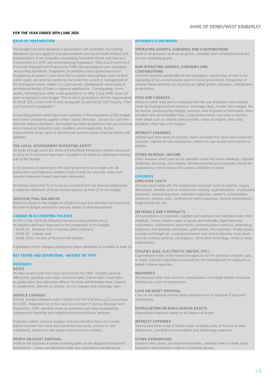### **FOR THE YEAR ENDED 30TH JUNE 2020**

Standards (as they apply to local governments and not-for-profit entities) and interpretations of the Australian Accounting Standards Board, and the*Local* not non-operating grants. *Government Act 1995* and accompanying regulations. The *Local Government (Financial Management) Regulations 1996* take precedence over Australian Accounting Standards. Regulation 16 prohibits a local government from **CONTRIBUTIONS**<br>Trecognising as assets Crown land that is a public thoroughfare, such as land Amounts received specifically for the acquisition, constru recognising as assets Crown land that is a public thoroughfare, such as land under roads, and land not owned by but under the control or management of upgrading of non-current assets paid to a local government, irrespective of the local government, unless it is a golf course, showground, racecourse or whether these amounts are received as capital grants, subsidies, contributions recreational facility of State or regional significance. Consequently, some or donations. assets, including land under roads acquired on or after 1 July 2008, have not<br>been recognised in this budget. This is not in accordance with the requirements FEES AND CHARGES been recognised in this budget. This is not in accordance with the requirements **FEES AND CHARGES**<br>of AASB 1051 Land Under Roads paragraph 15 and AASB 116 Property, Plant Revenue (other than service charges) from the use o *of AASB 1051 Land Under Roads* paragraph 15 and *AASB 116 Property, Plant* and Equipment paragraph 7. **made for local government services**, sewerage rates, rentals, hire charges, fee

Accounting policies which have been adopted in the preparation of this budget penalties and administration fees. Local governments may wish to disclose have been consistently applied unless stated otherwise. Except for cas have been consistently applied unless stated otherwise. Except for cash flow and rate setting information, the budget has been prepared on the accrual basis penalties, other fees and charges. and is based on historical costs, modified, where applicable, by the measurement at fair value of selected non-current assets, financial assets and **INTEREST EARNINGS** liabilities. Interest and other items of a similar nature received from bank and investment

### **THE LOCAL GOVERNMENT REPORTING ENTITY** debtors.

All funds through which the Shire of Derby/West Kimberley controls resources<br>to carry on its functions have been included in the financial statements forming. **OTHER REVENUE / INCOME** to carry on its functions have been included in the financial statements forming part of this budget. **Other revenue, which can not be classified under the above headings, includes** 

In the process of reporting on the local government as a single unit, all separated by note to ensure the correct calculation of ratios. transactions and balances between those Funds (for example, loans and transfers between Funds) have been eliminated. **EXPENSES**

All monies held in the Trust Fund are excluded from the financial statements. All costs associated with the employment of person such as salaries, wages,

Balances shown in this budget as 2018/19 Actual are estimates as forecast at the time of budget preparation and are subject to final adjustments.

Explanation of the changes arising from these standards is provided at Note 15.

### **RATES**

All rates levied under the *Local Government Act 1995*. Includes general, **INSURANCE** ex-gratia rates, less discounts offered. Exclude administration fees, interest included as a cost of employment. on instalments, interest on arrears, service charges and sewerage rates.

Service charges imposed under Division 6 of Part 6 of the *Local Government* investments. *Act 1995.* Regulation 54 of the *Local Government (Financial Management) Regulations 1996* identifies these as television and radio broadcasting, **DEPRECIATION ON NON-CURRENT ASSETS** underground electricity and neighbourhood surveillance services. Depreciation expense raised on all classes of assets.

Excludes rubbish removal charges. Interest and other items of a similar **INTEREST EXPENSES** nature received from bank and investment accounts, interest on rate Interest and other costs of finance paid, including costs of finance for loan instalments, interest on rate arrears and interest on debtors.

**PROFIT ON ASSET DISPOSAL OTHER EXPENDITURE**<br> **Profit on the disposal of assets including gains on the disposal of long term** Statutory fees, taxes, pro investments. Losses are disclosed under the expenditure classifications. Donations and subsidies made to community groups.

### **BASIS OF PREPARATION REVENUES (CONTINUED)**

The budget has been prepared in accordance with Australian Accounting **OPERATING GRANTS, SUBSIDIES AND CONTRIBUTIONS**<br>Standards (as they apply to local governments and not-for-profit entities) and Refer to all amounts rece

for service, photocopying charges, licences, sale of goods or information, fines,

accounts, interest on rate instalments, interest on rate arrears and interest on

dividends, discounts, and rebates. Reimbursements and recoveries should be

### **EMPLOYEE COSTS**

A separate statement of those monies appears at Note 13 to the budget. allowances, benefits such as vehicle and housing, superannuation, employment expenses, removal expenses, relocation expenses, worker's compensation **2018/19 ACTUAL BALANCES** insurance, training costs, conferences safety expenses, medical examinations,

### **MATERIALS AND CONTRACTS**

**CHANGE IN ACCOUNTING POLICIES All expenditures on materials, supplies and contracts not classified under other** On the 1 July 2019 the following new accounting policies are to headings. These include supply of goods and materials, legal expenses be adopted and have impacted on the preparation of the budget:<br>
consultancy, maintenance e adopted and have impacted on the preparation of the budget: consultancy, maintenance agreements, communication expenses, advertising<br>
AASB 15 - Revenue from Contracts with Customers: expenses, membership, periodicals, pu AASB 15 - Revenue from Contracts with Customers; expenses, membership, periodicals, publications, hire expenses, rental, leases, and frequence of the expenses of the expenses of the expenses of the expenses of the expenses AASB 16 - Leases; and<br>AASB 1058 - Income of Not-for-Profit Entities.<br>AASB 1058 - Income of Not-for-Profit Entities.<br>AASB 1058 - Income of Not-for-Profit Entities. such as contract services, consultancy, information technology, rental or lease expenditures.

### **UTILITIES (GAS, ELECTRICITY, WATER, ETC.)**

**KEY TERMS AND DEFINITIONS - NATURE OR TYPE** EXpenditures made to the respective agencies for the provision of power, gas or water. Exclude expenditures incurred for the reinstatement of roadwork on **REVENUES** behalf of these agencies.

All insurance other than worker's compensation and health benefit insurance

### **LOSS ON ASSET DISPOSAL**

**SERVICE CHARGES Loss on the disposal of fixed assets includes loss on disposal of long term** 

debentures, overdraft accommodation and refinancing expenses.

Statutory fees, taxes, provision for bad debts, member's fees or State taxes.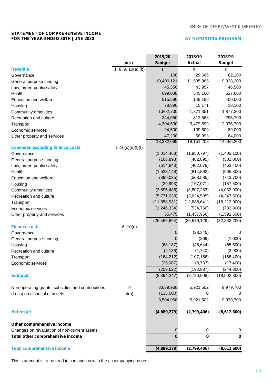# SHIRE OF DERBY/WEST KIMBERLEY

# **STATEMENT OF COMPREHENSIVE INCOME FOR THE YEAR ENDED 30TH JUNE 2020 BY REPORTING PROGRAM**

|                                                   |                     | 2019/20        | 2018/19        | 2018/19        |
|---------------------------------------------------|---------------------|----------------|----------------|----------------|
|                                                   | <b>NOTE</b>         | <b>Budget</b>  | <b>Actual</b>  | <b>Budget</b>  |
| <b>Revenue</b>                                    | 1, 8, 9, 10(a), (b) | \$             | \$             | \$             |
| Governance                                        |                     | 100            | 29,666         | 62,100         |
| General purpose funding                           |                     | 10,400,121     | 11,535,985     | 9,028,200      |
| Law, order, public safety                         |                     | 45,350         | 43,957         | 46,500         |
| Health                                            |                     | 699,038        | 545,100        | 527,600        |
| <b>Education and welfare</b>                      |                     | 515,590        | 149,189        | 400,000        |
| Housing                                           |                     | 78,890         | 15,171         | 18,100         |
| Community amenities                               |                     | 1,802,700      | 1,871,351      | 1,877,300      |
| Recreation and culture                            |                     | 344,050        | 312,588        | 295,700        |
| Transport                                         |                     | 4,304,530      | 3,479,599      | 2,076,700      |
| Economic services                                 |                     | 94,500         | 109,609        | 89,000         |
| Other property and services                       |                     | 47,200         | 58,993         | 64,000         |
|                                                   |                     | 18,332,069     | 18, 151, 208   | 14,485,200     |
| <b>Expenses excluding finance costs</b>           | 5,10(c)(e)(f)(f)    |                |                |                |
| Governance                                        |                     | (1,014,468)    | (1,950,797)    | (1,405,100)    |
| General purpose funding                           |                     | (168, 893)     | (482, 895)     | (301,000)      |
| Law, order, public safety                         |                     | (614, 843)     | (402, 078)     | (463, 400)     |
| Health                                            |                     | (1,523,148)    | (814, 562)     | (905, 800)     |
| <b>Education and welfare</b>                      |                     | (399, 035)     | (568, 585)     | (713, 700)     |
| Housing                                           |                     | (29, 993)      | (167, 071)     | (157,500)      |
| Community amenities                               |                     | (3,895,486)    | (3,807,283)    | (4,032,900)    |
| Recreation and culture                            |                     | (5,771,038)    | (3,624,505)    | (4,347,500)    |
| Transport                                         |                     | (11, 858, 931) | (12,888,641)   | (18, 212, 000) |
| Economic services                                 |                     | (1, 246, 334)  | (534, 756)     | (702, 800)     |
| Other property and services                       |                     | 55,475         | (1,437,956)    | (1,591,500)    |
|                                                   |                     | (26, 466, 694) | (26, 679, 129) | (32, 833, 200) |
|                                                   |                     |                |                |                |
| <b>Finance costs</b><br>Governance                | 6, 10(d)            | 0              | (28, 345)      | 0              |
|                                                   |                     | 0              | (369)          | (1,000)        |
| General purpose funding                           |                     | (68, 137)      | (46, 644)      | (65,600)       |
| Housing                                           |                     | (2, 186)       | (1,740)        | (3,900)        |
| Recreation and culture                            |                     | (164, 212)     |                |                |
| Transport                                         |                     |                | (107, 156)     | (156, 400)     |
| Economic services                                 |                     | (25,087)       | (8,733)        | (17, 400)      |
|                                                   |                     | (259, 622)     | (192, 987)     | (244, 300)     |
| <b>Subtotal</b>                                   |                     | (8, 394, 247)  | (8,720,908)    | (18,592,300)   |
| Non-operating grants, subsidies and contributions | 9                   | 3,639,968      | 5,921,502      | 9,979,700      |
| (Loss) on disposal of assets                      | 4(b)                | (135,000)      | 0              | 0              |
|                                                   |                     | 3,504,968      | 5,921,502      | 9,979,700      |
| <b>Net result</b>                                 |                     | (4,889,279)    | (2,799,406)    | (8,612,600)    |
| Other comprehensive income                        |                     |                |                |                |
| Changes on revaluation of non-current assets      |                     | 0              | 0              | 0              |
| Total other comprehensive income                  |                     | $\bf{0}$       | $\mathbf 0$    | $\bf{0}$       |
| <b>Total comprehensive income</b>                 |                     | (4,889,279)    | (2,799,406)    | (8,612,600)    |
|                                                   |                     |                |                |                |

This statement is to be read in conjunction with the accompanying notes.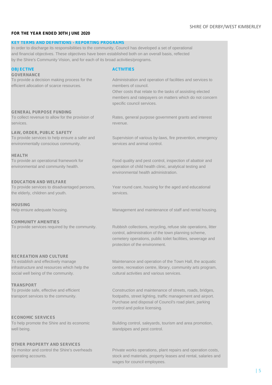### **FOR THE YEAR ENDED 30TH JUNE 2020**

### **KEY TERMS AND DEFINITIONS - REPORTING PROGRAMS**

In order to discharge its responsibilities to the community, Council has developed a set of operational and financial objectives. These objectives have been established both on an overall basis, reflected by the Shire's Community Vision, and for each of its broad activities/programs.

### **OBJECTIVE ACTIVITIES GOVERNANCE**

efficient allocation of scarce resources. members of council.

**GENERAL PURPOSE FUNDING**<br>To collect revenue to allow for the provision of services. **revenue. revenue.** 

**LAW, ORDER, PUBLIC SAFETY** environmentally conscious community. **Services** and animal control.

### **HEALTH**

### **EDUCATION AND WELFARE**

the elderly, children and youth. Services.

**HOUSING**

**COMMUNITY AMENITIES**

### **RECREATION AND CULTURE**

social well being of the community. cultural activities and various services.

# **TRANSPORT**

### **ECONOMIC SERVICES**

well being. Standpipes and pest control.

### **OTHER PROPERTY AND SERVICES**

To provide a decision making process for the Administration and operation of facilities and services to

Other costs that relate to the tasks of assisting elected members and ratepayers on matters which do not concern specific council services.

Rates, general purpose government grants and interest

Supervision of various by-laws, fire prevention, emergency

To provide an operational framework for Food quality and pest control, inspection of abattoir and environmental and community health.  $\qquad$  operation of child health clinic, analytical testing and environmental health administration.

To provide services to disadvantaged persons, Year round care, housing for the aged and educational

Help ensure adequate housing. Management and maintenance of staff and rental housing.

To provide services required by the community. Rubbish collections, recycling, refuse site operations, litter control, administration of the town planning scheme, cemetery operations, public toilet facilities, sewerage and protection of the environment.

To establish and effectively manage Maintenance and operation of the Town Hall, the acquatic infrastructure and resources which help the centre, recreation centre, library, community arts program,

To provide safe, effective and efficient Construction and maintenance of streets, roads, bridges, transport services to the community. footpaths, street lighting, traffic management and airport. Purchase and disposal of Council's road plant, parking control and police licensing.

To help promote the Shire and its economic Building control, saleyards, tourism and area promotion,

To monitor and control the Shire's overheads Private works operations, plant repairs and operation costs, operating accounts. stock and materials, property leases and rental, salaries and wages for council employees.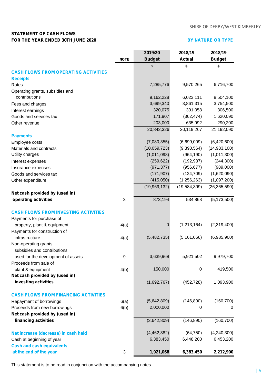# **STATEMENT OF CASH FLOWS FOR THE YEAR ENDED 30TH JUNE 2020**

# **BY NATURE OR TYPE**

|                                             |             | 2019/20       | 2018/19       | 2018/19        |  |
|---------------------------------------------|-------------|---------------|---------------|----------------|--|
|                                             | <b>NOTE</b> | <b>Budget</b> | <b>Actual</b> | <b>Budget</b>  |  |
|                                             |             | \$            | \$            | \$             |  |
| <b>CASH FLOWS FROM OPERATING ACTIVITIES</b> |             |               |               |                |  |
| <b>Receipts</b>                             |             |               |               |                |  |
| Rates                                       |             | 7,285,776     | 9,570,265     | 6,716,700      |  |
| Operating grants, subsidies and             |             |               |               |                |  |
| contributions                               |             | 9,162,228     | 6,023,111     | 8,504,100      |  |
| Fees and charges                            |             | 3,699,340     | 3,861,315     | 3,754,500      |  |
| Interest earnings                           |             | 320,075       | 391,058       | 306,500        |  |
| Goods and services tax                      |             | 171,907       | (362, 474)    | 1,620,090      |  |
| Other revenue                               |             | 203,000       | 635,992       | 290,200        |  |
|                                             |             | 20,842,326    | 20,119,267    | 21,192,090     |  |
| <b>Payments</b>                             |             |               |               |                |  |
| Employee costs                              |             | (7,080,355)   | (6,699,009)   | (6,420,600)    |  |
| Materials and contracts                     |             | (10,059,723)  | (9,390,564)   | (14,983,100)   |  |
| Utility charges                             |             | (1,011,098)   | (964, 190)    | (1,011,300)    |  |
| Interest expenses                           |             | (259, 622)    | (192, 987)    | (244, 300)     |  |
| Insurance expenses                          |             | (971, 377)    | (956, 677)    | (989,000)      |  |
| Goods and services tax                      |             | (171, 907)    | (124, 709)    | (1,620,090)    |  |
| Other expenditure                           |             | (415,050)     | (1,256,263)   | (1,097,200)    |  |
|                                             |             | (19,969,132)  | (19,584,399)  | (26, 365, 590) |  |
| Net cash provided by (used in)              |             |               |               |                |  |
| operating activities                        | 3           | 873,194       | 534,868       | (5, 173, 500)  |  |
| <b>CASH FLOWS FROM INVESTING ACTIVITIES</b> |             |               |               |                |  |
| Payments for purchase of                    |             |               |               |                |  |
| property, plant & equipment                 | 4(a)        | 0             | (1,213,164)   | (2,319,400)    |  |
| Payments for construction of                |             |               |               |                |  |
| infrastructure                              | 4(a)        | (5,482,735)   | (5, 161, 066) | (6,985,900)    |  |
| Non-operating grants,                       |             |               |               |                |  |
| subsidies and contributions                 |             |               |               |                |  |
| used for the development of assets          | 9           | 3,639,968     | 5,921,502     | 9,979,700      |  |
| Proceeds from sale of                       |             |               |               |                |  |
| plant & equipment                           | 4(b)        | 150,000       | $\pmb{0}$     | 419,500        |  |
| Net cash provided by (used in)              |             |               |               |                |  |
| investing activities                        |             | (1,692,767)   | (452, 728)    | 1,093,900      |  |
| <b>CASH FLOWS FROM FINANCING ACTIVITIES</b> |             |               |               |                |  |
| Repayment of borrowings                     | 6(a)        | (5,642,809)   | (146, 890)    | (160, 700)     |  |
| Proceeds from new borrowings                | 6(b)        | 2,000,000     | 0             | 0              |  |
| Net cash provided by (used in)              |             |               |               |                |  |
| financing activities                        |             | (3,642,809)   | (146, 890)    | (160, 700)     |  |
| Net increase (decrease) in cash held        |             | (4,462,382)   | (64, 750)     | (4,240,300)    |  |
| Cash at beginning of year                   |             | 6,383,450     | 6,448,200     | 6,453,200      |  |
| <b>Cash and cash equivalents</b>            |             |               |               |                |  |
| at the end of the year                      | 3           | 1,921,068     | 6,383,450     | 2,212,900      |  |
|                                             |             |               |               |                |  |

This statement is to be read in conjunction with the accompanying notes.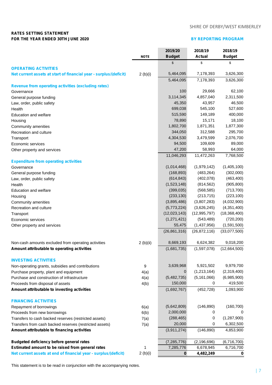# SHIRE OF DERBY/WEST KIMBERLEY

# **RATES SETTING STATEMENT FOR THE YEAR ENDED 30TH JUNE 2020 BY REPORTING PROGRAM**

|                                                                   |             | 2019/20        | 2018/19             | 2018/19             |  |
|-------------------------------------------------------------------|-------------|----------------|---------------------|---------------------|--|
|                                                                   | <b>NOTE</b> | <b>Budget</b>  | <b>Actual</b>       | <b>Budget</b>       |  |
|                                                                   |             | $\mathfrak{S}$ | \$                  | \$                  |  |
| <b>OPERATING ACTIVITIES</b>                                       |             |                |                     |                     |  |
| Net current assets at start of financial year - surplus/(deficit) | 2(b)(i)     | 5,464,095      | 7,178,393           | 3,626,300           |  |
|                                                                   |             | 5,464,095      | 7,178,393           | 3,626,300           |  |
| <b>Revenue from operating activities (excluding rates)</b>        |             | 100            |                     |                     |  |
| Governance                                                        |             | 3,114,345      | 29,666<br>4,857,040 | 62,100<br>2,311,500 |  |
| General purpose funding                                           |             | 45,350         | 43,957              | 46,500              |  |
| Law, order, public safety                                         |             | 699,038        |                     | 527,600             |  |
| Health                                                            |             |                | 545,100             |                     |  |
| <b>Education and welfare</b>                                      |             | 515,590        | 149,189             | 400,000             |  |
| Housing                                                           |             | 78,890         | 15,171              | 18,100              |  |
| Community amenities                                               |             | 1,802,700      | 1,871,351           | 1,877,300           |  |
| Recreation and culture                                            |             | 344,050        | 312,588             | 295,700             |  |
| Transport                                                         |             | 4,304,530      | 3,479,599           | 2,076,700           |  |
| Economic services                                                 |             | 94,500         | 109,609             | 89,000              |  |
| Other property and services                                       |             | 47,200         | 58,993              | 64,000              |  |
|                                                                   |             | 11,046,293     | 11,472,263          | 7,768,500           |  |
| <b>Expenditure from operating activities</b>                      |             |                |                     |                     |  |
| Governance                                                        |             | (1,014,468)    | (1,979,142)         | (1,405,100)         |  |
| General purpose funding                                           |             | (168, 893)     | (483, 264)          | (302,000)           |  |
| Law, order, public safety                                         |             | (614, 843)     | (402,078)           | (463, 400)          |  |
| Health                                                            |             | (1,523,148)    | (814, 562)          | (905, 800)          |  |
| <b>Education and welfare</b>                                      |             | (399, 035)     | (568, 585)          | (713, 700)          |  |
| Housing                                                           |             | (233, 130)     | (213, 715)          | (223, 100)          |  |
| Community amenities                                               |             | (3,895,486)    | (3,807,283)         | (4,032,900)         |  |
| Recreation and culture                                            |             | (5,773,224)    | (3,626,245)         | (4,351,400)         |  |
| Transport                                                         |             | (12,023,143)   | (12, 995, 797)      | (18, 368, 400)      |  |
| Economic services                                                 |             | (1,271,421)    | (543, 489)          | (720, 200)          |  |
| Other property and services                                       |             | 55,475         | (1,437,956)         | (1,591,500)         |  |
|                                                                   |             | (26, 861, 316) | (26, 872, 116)      | (33,077,500)        |  |
| Non-cash amounts excluded from operating activities               | 2(b)(ii)    | 8,669,193      | 6,624,382           | 9,018,200           |  |
| Amount attributable to operating activities                       |             | (1,681,735)    | (1,597,078)         | (12,664,500)        |  |
|                                                                   |             |                |                     |                     |  |
| <b>INVESTING ACTIVITIES</b>                                       |             |                |                     |                     |  |
| Non-operating grants, subsidies and contributions                 | 9           | 3,639,968      | 5,921,502           | 9,979,700           |  |
| Purchase property, plant and equipment                            | 4(a)        | 0              | (1,213,164)         | (2,319,400)         |  |
| Purchase and construction of infrastructure                       | 4(a)        | (5,482,735)    | (5, 161, 066)       | (6,985,900)         |  |
| Proceeds from disposal of assets                                  | 4(b)        | 150,000        | 0                   | 419,500             |  |
| Amount attributable to investing activities                       |             | (1,692,767)    | (452, 728)          | 1,093,900           |  |
| <b>FINANCING ACTIVITIES</b>                                       |             |                |                     |                     |  |
| Repayment of borrowings                                           | 6(a)        | (5,642,809)    | (146, 890)          | (160, 700)          |  |
| Proceeds from new borrowings                                      | 6(b)        | 2,000,000      | 0                   | 0                   |  |
| Transfers to cash backed reserves (restricted assets)             | 7(a)        | (288, 465)     | 0                   | (1, 287, 900)       |  |
| Transfers from cash backed reserves (restricted assets)           | 7(a)        | 20,000         | 0                   | 6,302,500           |  |
| Amount attributable to financing activities                       |             |                | (146, 890)          | 4,853,900           |  |
|                                                                   |             | (3,911,274)    |                     |                     |  |
| <b>Budgeted deficiency before general rates</b>                   |             | (7, 285, 776)  | (2, 196, 696)       | (6,716,700)         |  |
| Estimated amount to be raised from general rates                  | 1           | 7,285,776      | 6,678,945           | 6,716,700           |  |
| Net current assets at end of financial year - surplus/(deficit)   | 2(b)(i)     | $\bf{0}$       | 4,482,249           | 0                   |  |

This statement is to be read in conjunction with the accompanying notes.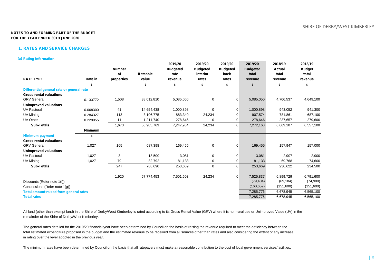### **1. RATES AND SERVICE CHARGES**

### **(a) Rating Information**

|                                               |                | <b>Number</b> |            | 2019/20<br><b>Budgeted</b> | 2019/20<br><b>Budgeted</b> | 2019/20<br><b>Budgeted</b> | 2019/20<br><b>Budgeted</b> | 2018/19<br>Actual | 2018/19<br><b>Budget</b> |
|-----------------------------------------------|----------------|---------------|------------|----------------------------|----------------------------|----------------------------|----------------------------|-------------------|--------------------------|
|                                               |                | of            | Rateable   | rate                       | interim                    | back                       | total                      | total             | total                    |
| <b>RATE TYPE</b>                              | Rate in        | properties    | value      | revenue                    | rates                      | rates                      | revenue                    | revenue           | revenue                  |
|                                               | \$             |               | \$         | \$                         | \$                         | \$                         | $\mathcal{S}$              | \$                | \$                       |
| Differential general rate or general rate     |                |               |            |                            |                            |                            |                            |                   |                          |
| <b>Gross rental valuations</b>                |                |               |            |                            |                            |                            |                            |                   |                          |
| <b>GRV</b> General                            | 0.133772       | 1,508         | 38,012,810 | 5,085,050                  | 0                          | 0                          | 5,085,050                  | 4,706,537         | 4,649,100                |
| <b>Unimproved valuations</b>                  |                |               |            |                            |                            |                            |                            |                   |                          |
| <b>UV Pastoral</b>                            | 0.068300       | 41            | 14,654,438 | 1,000,898                  | $\mathbf 0$                | 0                          | 1,000,898                  | 943,052           | 941,300                  |
| UV Mining                                     | 0.284327       | 113           | 3,106,775  | 883,340                    | 24,234                     | 0                          | 907,574                    | 781,861           | 687,100                  |
| UV Other                                      | 0.229955       | 11            | 1,211,740  | 278,646                    | $\Omega$                   | 0                          | 278,646                    | 237,657           | 279,600                  |
| <b>Sub-Totals</b>                             |                | 1,673         | 56,985,763 | 7,247,934                  | 24,234                     | 0                          | 7,272,168                  | 6,669,107         | 6,557,100                |
|                                               | <b>Minimum</b> |               |            |                            |                            |                            |                            |                   |                          |
| <b>Minimum payment</b>                        | \$             |               |            |                            |                            |                            |                            |                   |                          |
| <b>Gross rental valuations</b>                |                |               |            |                            |                            |                            |                            |                   |                          |
| <b>GRV</b> General                            | 1,027          | 165           | 687,398    | 169,455                    | $\mathbf 0$                | 0                          | 169,455                    | 157,947           | 157,000                  |
| <b>Unimproved valuations</b>                  |                |               |            |                            |                            |                            |                            |                   |                          |
| <b>UV Pastoral</b>                            | 1,027          | 3             | 18,500     | 3,081                      | $\mathbf 0$                | 0                          | 3,081                      | 2,907             | 2,900                    |
| UV Mining                                     | 1,027          | 79            | 82,792     | 81,133                     | 0                          | 0                          | 81,133                     | 69,768            | 74,600                   |
| <b>Sub-Totals</b>                             |                | 247           | 788,690    | 253,669                    | $\mathbf 0$                | $\mathbf 0$                | 253,669                    | 230,622           | 234,500                  |
|                                               |                | 1,920         | 57,774,453 | 7,501,603                  | 24,234                     | $\mathbf 0$                | 7,525,837                  | 6,899,729         | 6,791,600                |
| Discounts (Refer note 1(f))                   |                |               |            |                            |                            |                            | (79, 404)                  | (69, 184)         | (74,900)                 |
| Concessions (Refer note 1(g))                 |                |               |            |                            |                            |                            | (160, 657)                 | (151,600)         | (151,600)                |
| <b>Total amount raised from general rates</b> |                |               |            |                            |                            |                            | 7,285,776                  | 6,678,945         | 6,565,100                |
| <b>Total rates</b>                            |                |               |            |                            |                            |                            | 7,285,776                  | 6,678,945         | 6,565,100                |
|                                               |                |               |            |                            |                            |                            |                            |                   |                          |

All land (other than exempt land) in the Shire of Derby/West Kimberley is rated according to its Gross Rental Value (GRV) where it is non-rural use or Unimproved Value (UV) in the remainder of the Shire of Derby/West Kimberley.

The general rates detailed for the 2019/20 financial year have been determined by Council on the basis of raising the revenue required to meet the deficiency between the total estimated expenditure proposed in the budget and the estimated revenue to be received from all sources other than rates and also considering the extent of any increase in rating over the level adopted in the previous year.

The minimum rates have been determined by Council on the basis that all ratepayers must make a reasonable contribution to the cost of local government services/facilities.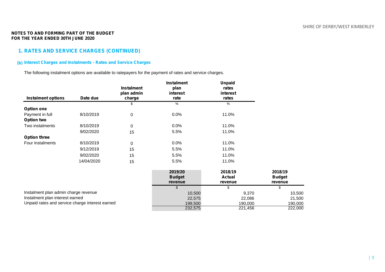# **1. RATES AND SERVICE CHARGES (CONTINUED)**

# **(b) Interest Charges and Instalments - Rates and Service Charges**

The following instalment options are available to ratepayers for the payment of rates and service charges.

|                                                 |            | <b>Instalment</b><br>plan admin | <b>Instalment</b><br>plan<br>interest | <b>Unpaid</b><br>rates<br>interest |                          |
|-------------------------------------------------|------------|---------------------------------|---------------------------------------|------------------------------------|--------------------------|
| <b>Instalment options</b>                       | Date due   | charge                          | rate                                  | rates                              |                          |
|                                                 |            | \$                              | %                                     | $\%$                               |                          |
| <b>Option one</b>                               |            |                                 |                                       |                                    |                          |
| Payment in full                                 | 8/10/2019  | $\pmb{0}$                       | 0.0%                                  | 11.0%                              |                          |
| <b>Option two</b>                               |            |                                 |                                       |                                    |                          |
| Two instalments                                 | 8/10/2019  | 0                               | 0.0%                                  | 11.0%                              |                          |
|                                                 | 9/02/2020  | 15                              | 5.5%                                  | 11.0%                              |                          |
| <b>Option three</b>                             |            |                                 |                                       |                                    |                          |
| Four instalments                                | 8/10/2019  | 0                               | 0.0%                                  | 11.0%                              |                          |
|                                                 | 9/12/2019  | 15                              | 5.5%                                  | 11.0%                              |                          |
|                                                 | 9/02/2020  | 15                              | 5.5%                                  | 11.0%                              |                          |
|                                                 | 14/04/2020 | 15                              | 5.5%                                  | 11.0%                              |                          |
|                                                 |            |                                 | 2019/20                               | 2018/19                            | 2018/19                  |
|                                                 |            |                                 | <b>Budget</b><br>revenue              | <b>Actual</b><br>revenue           | <b>Budget</b><br>revenue |
|                                                 |            |                                 |                                       | S.                                 | \$                       |
| Instalment plan admin charge revenue            |            |                                 | 10,500                                | 9,370                              | 10,500                   |
| Instalment plan interest earned                 |            |                                 | 22,575                                | 22,086                             | 21,500                   |
| Unpaid rates and service charge interest earned |            |                                 | 199,500                               | 190,000                            | 190,000                  |
|                                                 |            |                                 | 232,575                               | $\overline{221,}456$               | 222,000                  |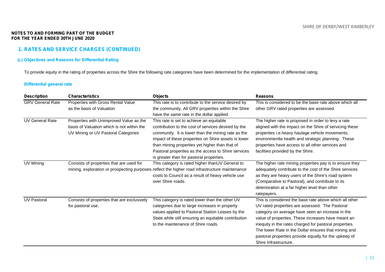# **1. RATES AND SERVICE CHARGES (CONTINUED)**

# **(c) Objectives and Reasons for Differential Rating**

To provide equity in the rating of properties across the Shire the following rate categories have been determined for the implementation of differential rating.

# **Differential general rate**

| <b>Description</b>      | <b>Characteristics</b>                                                                                                       | <b>Objects</b>                                                                                                                                                                                                                                                                                                                                                    | <b>Reasons</b>                                                                                                                                                                                                                                                                                                                                                                                                         |
|-------------------------|------------------------------------------------------------------------------------------------------------------------------|-------------------------------------------------------------------------------------------------------------------------------------------------------------------------------------------------------------------------------------------------------------------------------------------------------------------------------------------------------------------|------------------------------------------------------------------------------------------------------------------------------------------------------------------------------------------------------------------------------------------------------------------------------------------------------------------------------------------------------------------------------------------------------------------------|
| <b>GRV General Rate</b> | Properties with Gross Rental Value<br>as the basis of Valuation                                                              | This rate is to contribute to the service desired by<br>the community. All GRV properties within the Shire<br>have the same rate in the dollar applied.                                                                                                                                                                                                           | This is considered to be the base rate above which all<br>other GRV rated properties are assessed.                                                                                                                                                                                                                                                                                                                     |
| <b>UV General Rate</b>  | Properties with Unimproved Value as the<br>basis of Valuation which is not within the<br>UV Mining or UV Pastoral Categories | This rate is set to achieve an equitable<br>contribution to the cost of services desired by the<br>community. It is lower than the mining rate as the<br>impact of these properties on Shire assets is lower<br>than mining properties yet higher than that of<br>Pastoral properties as the access to Shire services<br>is greater than for pastoral properties. | The higher rate is proposed in order to levy a rate<br>aligned with the impact on the Shire of servicing these<br>properties i.e.heavy haulage vehicle movements,<br>environmentla health and strategic planning. These<br>properties have access to all other services and<br>facilities provided by the Shire.                                                                                                       |
| UV Mining               | Consists of properties that are used for                                                                                     | This category is rated higher thanUV General to<br>mining, exploration or prospecting purposes reflect the higher road infrastructure maintenance<br>costs to Council as a result of heavy vehicle use<br>over Shire roads.                                                                                                                                       | The higher rate mining properties pay is to ensure they<br>adequately contribute to the cost of the Shire services<br>as they are heavy users of the Shire's road system<br>(Comparative to Pastoral), and contribute to its<br>deterioration at a far higher level than other<br>ratepayers.                                                                                                                          |
| <b>UV Pastoral</b>      | Consists of properties that are exclusively<br>for pastoral use.                                                             | This category is rated lower than the other UV<br>categories due to large increases in property<br>values applied to Pastoral Station Leases by the<br>State while still ensuring an equitable contribution<br>to the maintenance of Shire roads.                                                                                                                 | This is considered the base rate above which all other<br>UV rated properties are assessed. The Pastoral<br>category on average have seen an increase in the<br>value of properties. These increases have meant an<br>inequity in the rates charged for pastoral properties.<br>The lower Rate in the Dollar ensures that mining and<br>pastoral properties provide equally for the upkeep of<br>Shire Infrastructure. |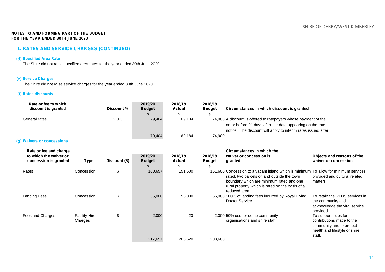# **1. RATES AND SERVICE CHARGES (CONTINUED)**

### **(d) Specified Area Rate**

The Shire did not raise specified area rates for the year ended 30th June 2020.

# **(e) Service Charges**

The Shire did not raise service charges for the year ended 30th June 2020.

### **(f) Rates discounts**

| Rate or fee to which<br>discount is granted | Discount % | 2019/20<br><b>Budget</b> | 2018/19<br>Actual | 2018/19<br><b>Budget</b> | Circumstances in which discount is granted                                                                                                                                                    |
|---------------------------------------------|------------|--------------------------|-------------------|--------------------------|-----------------------------------------------------------------------------------------------------------------------------------------------------------------------------------------------|
|                                             |            |                          |                   |                          |                                                                                                                                                                                               |
| General rates                               | $2.0\%$    | 79.404                   | 69.184            |                          | 74,900 A discount is offered to ratepayers whose payment of the<br>on or before 21 days after the date appearing on the rate<br>notice. The discount will apply to interim rates issued after |
|                                             |            | 79,404                   | 69,184            | 74,900                   |                                                                                                                                                                                               |

### **(g) Waivers or concessions**

| Rate or fee and charge<br>to which the waiver or<br>concession is granted | Type                            | Discount (\$) | 2019/20<br><b>Budget</b> | 2018/19<br>Actual | 2018/19<br><b>Budget</b> | Circumstances in which the<br>waiver or concession is<br>granted                                                                                                                                                                                    | Objects and reasons of the<br>waiver or concession                                                                       |
|---------------------------------------------------------------------------|---------------------------------|---------------|--------------------------|-------------------|--------------------------|-----------------------------------------------------------------------------------------------------------------------------------------------------------------------------------------------------------------------------------------------------|--------------------------------------------------------------------------------------------------------------------------|
|                                                                           |                                 |               |                          |                   |                          |                                                                                                                                                                                                                                                     |                                                                                                                          |
| Rates                                                                     | Concession                      | \$            | 160,657                  | 151,600           |                          | 151,600 Concession to a vacant island which is minimum To allow for minimum services<br>rated, two parcels of land outside the town<br>boundary which are minimum rated and one<br>rural property which is rated on the basis of a<br>reduced area. | provided and cultural related<br>matters.                                                                                |
| <b>Landing Fees</b>                                                       | Concession                      | \$            | 55,000                   | 55,000            |                          | 55,000 100% of landing fees incurred by Royal Flying<br>Doctor Service.                                                                                                                                                                             | To retain the RFDS services in<br>the community and<br>acknowledge the vital service<br>provided.                        |
| Fees and Charges                                                          | <b>Facility Hire</b><br>Charges | \$            | 2,000                    | 20                |                          | 2,000 50% use for some community<br>organisations and shire staff.                                                                                                                                                                                  | To support clubs for<br>contributions made to the<br>community and to protect<br>health and lifestyle of shire<br>staff. |
|                                                                           |                                 |               | 217,657                  | 206,620           | 208,600                  |                                                                                                                                                                                                                                                     |                                                                                                                          |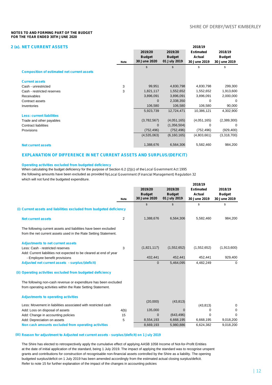# **2 (a). NET CURRENT ASSETS 2018/19**

|                                                    |             | 2019/20                       | 2019/20                       | <b>Estimated</b>       | 2018/19                       |
|----------------------------------------------------|-------------|-------------------------------|-------------------------------|------------------------|-------------------------------|
|                                                    | <b>Note</b> | <b>Budget</b><br>30 June 2020 | <b>Budget</b><br>01 July 2019 | Actual<br>30 June 2019 | <b>Budget</b><br>30 June 2019 |
|                                                    |             | \$                            | \$                            | \$                     | \$                            |
| <b>Composition of estimated net current assets</b> |             |                               |                               |                        |                               |
| <b>Current assets</b>                              |             |                               |                               |                        |                               |
| Cash - unrestricted                                | 3           | 99,951                        | 4,830,798                     | 4,830,798              | 299,300                       |
| Cash - restricted reserves                         | 3           | 1,821,117                     | 1,552,652                     | 1,552,652              | 1,913,600                     |
| Receivables                                        |             | 3,896,091                     | 3,896,091                     | 3,896,091              | 2,000,000                     |
| Contract assets                                    |             | $\mathbf 0$                   | 2,338,350                     | 0                      | 0                             |
| Inventories                                        |             | 106,580                       | 106,580                       | 106,580                | 90,000                        |
|                                                    |             | 5,923,739                     | 12,724,471                    | 10,386,121             | 4,302,900                     |
| <b>Less: current liabilities</b>                   |             |                               |                               |                        |                               |
| Trade and other payables                           |             | (3,782,567)                   | (4,051,165)                   | (4,051,165)            | (2,389,300)                   |
| <b>Contract liabilities</b>                        |             | $\mathbf 0$                   | (1,356,504)                   | 0                      | 0                             |
| <b>Provisions</b>                                  |             | (752, 496)                    | (752, 496)                    | (752, 496)             | (929, 400)                    |
|                                                    |             | (4,535,063)                   | (6, 160, 165)                 | (4,803,661)            | (3,318,700)                   |
| <b>Net current assets</b>                          |             | 1,388,676                     | 6,564,306                     | 5,582,460              | 984,200                       |

### **EXPLANATION OF DIFFERENCE IN NET CURRENT ASSETS AND SURPLUS/(DEFICIT)**

### **Operating activities excluded from budgeted deficiency**

When calculating the budget deficiency for the purpose of Section 6.2 (2)(c) of the*Local Government Act 1995* the following amounts have been excluded as provided by *Local Government (Financial Management) Regulation 32* which will not fund the budgeted expenditure.

|                                                                      |      |               |                | 2018/19          |               |
|----------------------------------------------------------------------|------|---------------|----------------|------------------|---------------|
|                                                                      |      | 2019/20       | 2019/20        | <b>Estimated</b> | 2018/19       |
|                                                                      |      | <b>Budget</b> | <b>Budget</b>  | Actual           | <b>Budget</b> |
|                                                                      | Note | 30 June 2020  | 01 July 2019   | 30 June 2019     | 30 June 2019  |
|                                                                      |      | $\mathbb{S}$  | $\mathfrak{S}$ | \$               | \$            |
| (i) Current assets and liabilities excluded from budgeted deficiency |      |               |                |                  |               |
| <b>Net current assets</b>                                            | 2    | 1,388,676     | 6,564,306      | 5,582,460        | 984,200       |
| The following current assets and liabilities have been excluded      |      |               |                |                  |               |
| from the net current assets used in the Rate Setting Statement.      |      |               |                |                  |               |
| <b>Adjustments to net current assets</b>                             |      |               |                |                  |               |
| Less: Cash - restricted reserves                                     | 3    | (1,821,117)   | (1,552,652)    | (1,552,652)      | (1,913,600)   |
| Add: Current liabilities not expected to be cleared at end of year   |      |               |                |                  |               |
| - Employee benefit provisions                                        |      | 432,441       | 452,441        | 452,441          | 929,400       |
| Adjusted net current assets - surplus/(deficit)                      |      | $\mathbf{0}$  | 5,464,095      | 4,482,249        | 0             |
| (ii) Operating activities excluded from budgeted deficiency          |      |               |                |                  |               |
| The following non-cash revenue or expenditure has been excluded      |      |               |                |                  |               |
| from operating activities within the Rate Setting Statement.         |      |               |                |                  |               |
| <b>Adjustments to operating activities</b>                           |      |               |                |                  |               |
|                                                                      |      | (20,000)      | (43, 813)      |                  |               |
| Less: Movement in liabilities associated with restricted cash        |      |               |                | (43, 813)        | 0             |
| Add: Loss on disposal of assets                                      | 4(b) | 135,000       | $\mathbf 0$    | 0                | 0             |
| Add: Change in accounting policies                                   | 15   | $\mathbf{0}$  | (643, 496)     | $\Omega$         | 0             |
| Add: Depreciation on assets                                          | 5    | 8,554,193     | 6,668,195      | 6,668,195        | 9,018,200     |
| Non cash amounts excluded from operating activities                  |      | 8,669,193     | 5,980,886      | 6,624,382        | 9,018,200     |

### **(iii) Reason for adjustment to Adjusted net current assets - surplus/(deficit) on 1 July 2019**

The Shire has elected to retrospectively apply the cumulative effect of applying AASB 1058 Income of Not-for-Profit Entities at the date of initial application of the standard, being 1 July 2019. The impact of applying the standard was to recognise unspent grants and contributions for construction of recognisable non-financial assets controlled by the Shire as a liability. The opening budgeted surplus/deficit on 1 July 2019 has been amended accordingly from the estimated actual closing surplus/deficit. Refer to note 15 for further explanation of the impact of the changes in accounting policies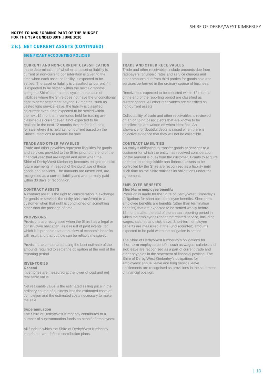# **2 (c). NET CURRENT ASSETS (CONTINUED)**

### **SIGNIFICANT ACCOUNTING POLICIES**

# **CURRENT AND NON-CURRENT CLASSIFICATION TRADE AND OTHER RECEIVABLES**

current or non-current, consideration is given to the ratepayers for unpaid rates and service charges and time when each asset or liability is expected to be other amounts due from third parties for goods sold and<br>settled. The asset or liability is classified as current if it services performed in the ordinary course of busine is expected to be settled within the next 12 months, being the Shire's operational cycle. In the case of liabilities where the Shire does not have the unconditional of the end of the reporting period are classified as<br>
right to defer settlement bevond 12 months, such as<br>
current assets. All other receivables are classified as right to defer settlement beyond 12 months, such as vested long service leave, the liability is classified non-current assets. as current even if not expected to be settled within the next 12 months. Inventories held for trading are Collectability of trade and other receivables is reviewed classified as current even if not expected to be on an ongoing basis. Debts that are known to be realised in the next 12 months except for land held uncollectible are written off when identified. An realised in the next 12 months except for land held for sale where it is held as non-current based on the allowance for doubtful debts is raised when there is<br>Shire's intentions to release for sale

**TRADE AND OTHER PAYABLES CONTRACT LIABILITIES** Trade and other payables represent liabilities for goods and services provided to the Shire prior to the end of the customer for which the entity has received consideration<br>
financial year that are unpaid and arise when the (or the amount is due) from the customer. Grants to acq Shire of Derby/West Kimberley becomes obliged to make or construct recognisable non-financial assets to be future payments in respect of the purchase of these controlled by the Shire are recognised as a liability until goods and services. The amounts are unsecured, are such time as the Shire satisfies its obligations under the recognised as a current liability and are normally paid agreement. within 30 days of recognition.

A contract asset is the right to consideration in exchange for goods or services the entity has transferred to a obligations for short-term employee benefits. Short term customer when that right is conditioned on something employee benefits are benefits (other than termination other than termination benefits) that are expected to be settled wholly before

Provisions are recognised when the Shire has a legal or constructive obligation, as a result of past events, for which it is probable that an outflow of economic benefits expected to be paid when the obligation is settled. will result and that outflow can be reliably measured.

amounts required to settle the obligation at the end of the reporting period. other payables in the statement of financial position. The

Inventories are measured at the lower of cost and net realisable value.

Net realisable value is the estimated selling price in the ordinary course of business less the estimated costs of completion and the estimated costs necessary to make the sale.

### **Superannuation**

The Shire of Derby/West Kimberley contributes to a number of superannuation funds on behalf of employees.

All funds to which the Shire of Derby/West Kimberley contributes are defined contribution plans.

Trade and other receivables include amounts due from services performed in the ordinary course of business.

Receivables expected to be collected within 12 months

objective evidence that they will not be collectible.

(or the amount is due) from the customer. Grants to acquire

### **EMPLOYEE BENEFITS**

**CONTRACT ASSETS**<br> **Short-term employee benefits**<br> **A contract asset is the right to consideration in exchange** Provision is made for the Shire of Derby/West Kimberley's benefits) that are expected to be settled wholly before 12 months after the end of the annual reporting period in **PROVISIONS**<br>**Provisions** are recognised when the Shire has a legal or wages, salaries and sick leave. Short-term employee benefits are measured at the (undiscounted) amounts

The Shire of Derby/West Kimberley's obligations for Provisions are measured using the best estimate of the short-term employee benefits such as wages, salaries and<br>amounts required to settle the obligation at the end of the sick leave are recognised as a part of current tra Shire of Derby/West Kimberley's obligations for **INVENTORIES Example 20 ATTES** employees' annual leave and long service leave **General** entitlements are recognised as provisions in the statement<br>Inventories are measured at the lower of cost and net of financial position.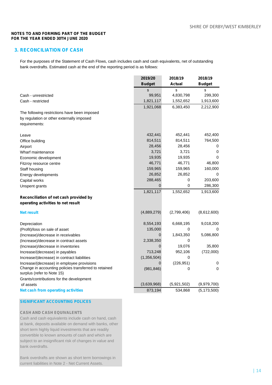# **3. RECONCILIATION OF CASH**

For the purposes of the Statement of Cash Flows, cash includes cash and cash equivalents, net of outstanding bank overdrafts. Estimated cash at the end of the reporting period is as follows:

|                                                                                     | 2019/20       | 2018/19     | 2018/19       |
|-------------------------------------------------------------------------------------|---------------|-------------|---------------|
|                                                                                     | <b>Budget</b> | Actual      | <b>Budget</b> |
|                                                                                     | \$            | \$          | \$            |
| Cash - unrestricted                                                                 | 99,951        | 4,830,798   | 299,300       |
| Cash - restricted                                                                   | 1,821,117     | 1,552,652   | 1,913,600     |
|                                                                                     | 1,921,068     | 6,383,450   | 2,212,900     |
| The following restrictions have been imposed                                        |               |             |               |
| by regulation or other externally imposed                                           |               |             |               |
| requirements:                                                                       |               |             |               |
|                                                                                     |               |             |               |
| Leave                                                                               | 432,441       | 452,441     | 452,400       |
| Office building                                                                     | 814,511       | 814,511     | 764,500       |
| Airport                                                                             | 28,456        | 28,456      | 0             |
| Wharf maintenance                                                                   | 3,721         | 3,721       | 0             |
| Economic development                                                                | 19,935        | 19,935      | 0             |
| Fitzroy resource centre                                                             | 46,771        | 46,771      | 46,800        |
| Staff housing                                                                       | 159,965       | 159,965     | 160,000       |
| Energy developments                                                                 | 26,852        | 26,852      | 0             |
| Capital works                                                                       | 288,465       | 0           | 203,600       |
| Unspent grants                                                                      | $\mathbf 0$   | 0           | 286,300       |
|                                                                                     | 1,821,117     | 1,552,652   | 1,913,600     |
| Reconciliation of net cash provided by                                              |               |             |               |
| operating activities to net result                                                  |               |             |               |
| <b>Net result</b>                                                                   | (4,889,279)   | (2,799,406) | (8,612,600)   |
|                                                                                     |               |             |               |
| Depreciation                                                                        | 8,554,193     | 6,668,195   | 9,018,200     |
| (Profit)/loss on sale of asset                                                      | 135,000       | 0           | 0             |
| (Increase)/decrease in receivables                                                  | $\Omega$      | 1,843,350   | 5,086,800     |
| (Increase)/decrease in contract assets                                              | 2,338,350     | 0           |               |
| (Increase)/decrease in inventories                                                  | 0             | 19,076      | 35,800        |
| Increase/(decrease) in payables                                                     | 713,248       | 952,106     | (722,000)     |
| Increase/(decrease) in contract liabilities                                         | (1,356,504)   | 0           |               |
| Increase/(decrease) in employee provisions                                          | 0             | (226, 951)  | 0             |
| Change in accounting policies transferred to retained<br>surplus (refer to Note 15) | (981, 846)    | 0           | $\Omega$      |
| Grants/contributions for the development                                            |               |             |               |
| of assets                                                                           | (3,639,968)   | (5,921,502) | (9,979,700)   |
| <b>Net cash from operating activities</b>                                           | 873,194       | 534,868     | (5, 173, 500) |
|                                                                                     |               |             |               |

# **SIGNIFICANT ACCOUNTING POLICES**

# **CASH AND CASH EQUIVALENTS**

Cash and cash equivalents include cash on hand, cash at bank, deposits available on demand with banks, other short term highly liquid investments that are readily convertible to known amounts of cash and which are subject to an insignificant risk of changes in value and bank overdrafts.

Bank overdrafts are shown as short term borrowings in current liabilities in Note 2 - Net Current Assets.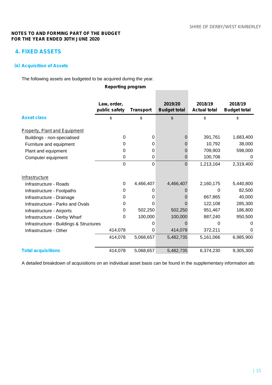e.

# **NOTES TO AND FORMING PART OF THE BUDGET FOR THE YEAR ENDED 30TH JUNE 2020**

# **4. FIXED ASSETS**

# **(a) Acquisition of Assets**

The following assets are budgeted to be acquired during the year.

# **Reporting program**

|                                         | Law, order,   |                  | 2019/20             | 2018/19             | 2018/19             |
|-----------------------------------------|---------------|------------------|---------------------|---------------------|---------------------|
|                                         | public safety | <b>Transport</b> | <b>Budget total</b> | <b>Actual total</b> | <b>Budget total</b> |
| <b>Asset class</b>                      | \$            | \$               | \$                  | \$                  | $\mathfrak{s}$      |
| <b>Property, Plant and Equipment</b>    |               |                  |                     |                     |                     |
| Buildings - non-specialised             | $\Omega$      | 0                | 0                   | 391,761             | 1,683,400           |
| Furniture and equipment                 | Ω             | 0                |                     | 10,792              | 38,000              |
| Plant and equipment                     | 0             | 0                | 0                   | 709,903             | 598,000             |
| Computer equipment                      | 0             | 0                | 0                   | 100,708             | O                   |
|                                         | $\Omega$      | 0                | $\Omega$            | 1,213,164           | 2,319,400           |
| Infrastructure                          |               |                  |                     |                     |                     |
| Infrastructure - Roads                  | $\Omega$      | 4,466,407        | 4,466,407           | 2,160,175           | 5,440,800           |
| Infrastructure - Footpaths              | 0             | 0                |                     | 0                   | 82,500              |
| Infrastructure - Drainage               | 0             | 0                |                     | 667,865             | 40,000              |
| Infrastructure - Parks and Ovals        | 0             | 0                |                     | 122,108             | 285,300             |
| Infrastructure - Airports               | 0             | 502,250          | 502,250             | 951,467             | 186,800             |
| Infrastructure - Derby Wharf            | 0             | 100,000          | 100,000             | 887,240             | 950,500             |
| Infrastructure - Buildings & Structures |               | 0                |                     | 0                   | 0                   |
| Infrastructure - Other                  | 414,078       | 0                | 414,078             | 372,211             | O                   |
|                                         | 414,078       | 5,068,657        | 5,482,735           | 5,161,066           | 6,985,900           |
| <b>Total acquisitions</b>               | 414,078       | 5,068,657        | 5,482,735           | 6,374,230           | 9,305,300           |

A detailed breakdown of acquisitions on an individual asset basis can be found in the supplementary information atta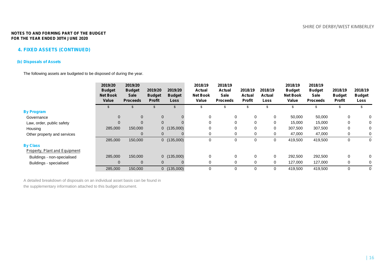# **4. FIXED ASSETS (CONTINUED)**

# **(b) Disposals of Assets**

The following assets are budgeted to be disposed of during the year.

|                               | 2019/20<br><b>Budget</b><br><b>Net Book</b><br>Value | 2019/20<br><b>Budget</b><br><b>Sale</b><br><b>Proceeds</b> | 2019/20<br><b>Budget</b><br><b>Profit</b> | 2019/20<br><b>Budget</b><br><b>Loss</b> | 2018/19<br>Actual<br><b>Net Book</b><br>Value | 2018/19<br><b>Actual</b><br><b>Sale</b><br><b>Proceeds</b> | 2018/19<br>Actual<br><b>Profit</b> | 2018/19<br><b>Actual</b><br>Loss | 2018/19<br><b>Budget</b><br><b>Net Book</b><br>Value | 2018/19<br><b>Budget</b><br><b>Sale</b><br><b>Proceeds</b> | 2018/19<br><b>Budget</b><br>Profit | 2018/19<br><b>Budget</b><br>Loss |
|-------------------------------|------------------------------------------------------|------------------------------------------------------------|-------------------------------------------|-----------------------------------------|-----------------------------------------------|------------------------------------------------------------|------------------------------------|----------------------------------|------------------------------------------------------|------------------------------------------------------------|------------------------------------|----------------------------------|
|                               |                                                      |                                                            |                                           |                                         | S                                             | Ж                                                          |                                    |                                  |                                                      | \$                                                         |                                    |                                  |
| <b>By Program</b>             |                                                      |                                                            |                                           |                                         |                                               |                                                            |                                    |                                  |                                                      |                                                            |                                    |                                  |
| Governance                    | $\Omega$                                             | $\mathbf 0$                                                | $\mathbf 0$                               | $\mathbf{0}$                            | 0                                             | 0                                                          | $\mathbf 0$                        | $\mathbf 0$                      | 50,000                                               | 50,000                                                     | 0                                  | 0                                |
| Law, order, public safety     | $\mathbf 0$                                          | $\mathbf{0}$                                               | $\mathbf 0$                               | 0                                       | 0                                             | 0                                                          | $\mathbf 0$                        | 0                                | 15,000                                               | 15,000                                                     |                                    | 0                                |
| Housing                       | 285,000                                              | 150,000                                                    |                                           | 0(135,000)                              | $\Omega$                                      | $\Omega$                                                   | 0                                  | 0                                | 307,500                                              | 307,500                                                    |                                    | 0                                |
| Other property and services   |                                                      | $\mathbf 0$                                                | $\mathbf 0$                               | 0                                       | 0                                             |                                                            | 0                                  | 0                                | 47,000                                               | 47,000                                                     |                                    |                                  |
|                               | 285,000                                              | 150,000                                                    |                                           | 0(135,000)                              | $\Omega$                                      |                                                            | $\mathbf 0$                        | 0                                | 419,500                                              | 419,500                                                    | 0                                  | 0                                |
| <b>By Class</b>               |                                                      |                                                            |                                           |                                         |                                               |                                                            |                                    |                                  |                                                      |                                                            |                                    |                                  |
| Property, Plant and Equipment |                                                      |                                                            |                                           |                                         |                                               |                                                            |                                    |                                  |                                                      |                                                            |                                    |                                  |
| Buildings - non-specialised   | 285,000                                              | 150,000                                                    |                                           | 0(135,000)                              | 0                                             | $\Omega$                                                   | $\mathbf 0$                        | $\mathbf 0$                      | 292,500                                              | 292,500                                                    | 0                                  | 0                                |
| Buildings - specialised       | 0                                                    | $\mathbf 0$                                                | $\mathbf 0$                               | 0                                       | 0                                             | $\Omega$                                                   | $\mathbf 0$                        | 0                                | 127,000                                              | 127,000                                                    |                                    | 0                                |
|                               | 285,000                                              | 150,000                                                    |                                           | 0(135,000)                              | $\Omega$                                      |                                                            | $\mathbf 0$                        | $\mathbf 0$                      | 419,500                                              | 419,500                                                    |                                    | 0                                |

A detailed breakdown of disposals on an individual asset basis can be found in the supplementary information attached to this budget document.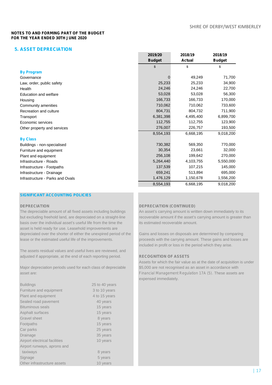# **5. ASSET DEPRECIATION**

|                                  | <b>Budget</b> | <b>Actual</b> | <b>Budget</b> |  |
|----------------------------------|---------------|---------------|---------------|--|
|                                  | \$            | \$            | \$            |  |
| <b>By Program</b>                |               |               |               |  |
| Governance                       | $\Omega$      | 49,249        | 71,700        |  |
| Law, order, public safety        | 25,233        | 25,233        | 34,900        |  |
| Health                           | 24,246        | 24,246        | 22,700        |  |
| Education and welfare            | 53,028        | 53,028        | 56,300        |  |
| Housing                          | 166,733       | 166,733       | 170,000       |  |
| Community amenities              | 710,062       | 710,062       | 733,600       |  |
| Recreation and culture           | 804,731       | 804,732       | 711,900       |  |
| Transport                        | 6,381,398     | 4,495,400     | 6,899,700     |  |
| Economic services                | 112,755       | 112,755       | 123,900       |  |
| Other property and services      | 276,007       | 226,757       | 193,500       |  |
|                                  | 8,554,193     | 6,668,195     | 9,018,200     |  |
| <b>By Class</b>                  |               |               |               |  |
| Buildings - non-specialised      | 730,382       | 569,350       | 770,000       |  |
| Furniture and equipment          | 30,354        | 23,661        | 32,000        |  |
| Plant and equipment              | 256,108       | 199,642       | 270,000       |  |
| Infrastructure - Roads           | 5,264,440     | 4,103,755     | 5,550,000     |  |
| Infrastructure - Footpaths       | 137,539       | 107,215       | 145,000       |  |
| Infrastructure - Drainage        | 659,241       | 513,894       | 695,000       |  |
| Infrastructure - Parks and Ovals | 1,476,129     | 1,150,678     | 1,556,200     |  |
|                                  | 8,554,193     | 6,668,195     | 9,018,200     |  |

# **SIGNIFICANT ACCOUNTING POLICIES**

The depreciable amount of all fixed assets including buildings An asset's carrying amount is written down immediately to its basis over the individual asset's useful life from the time the its estimated recoverable amount. asset is held ready for use. Leasehold improvements are depreciated over the shorter of either the unexpired period of the Gains and losses on disposals are determined by comparing lease or the estimated useful life of the improvements. proceeds with the carrying amount. These gains and losses are

The assets residual values and useful lives are reviewed, and adjusted if appropriate, at the end of each reporting period. **RECOGNITION OF ASSETS**

Major depreciation periods used for each class of depreciable \$5,000 are not recognised as an asset in accordance with asset are: *Financial Management Regulation 17A (5)*. These assets are

| <b>Buildings</b>              | 25 to 40 years |
|-------------------------------|----------------|
| Furniture and equipment       | 3 to 10 years  |
| Plant and equipment           | 4 to 15 years  |
| Sealed road pavement          | 40 years       |
| <b>Bituminous seals</b>       | 15 years       |
| Asphalt surfaces              | 15 years       |
| <b>Gravel sheet</b>           | 8 years        |
| Footpaths                     | 15 years       |
| Car parks                     | 25 years       |
| Drainage                      | 35 years       |
| Airport electrical facilities | 10 years       |
| Airport runways, aprons and   |                |
| taxiways                      | 8 years        |
| Signage                       | 5 years        |
| Other infrastructure assets   | 10 years       |

### **DEPRECIATION DEPRECIATION (CONTINUED)**

but excluding freehold land, are depreciated on a straight-line recoverable amount if the asset's carrying amount is greater than

**2019/20 2018/19 2018/19**

included in profit or loss in the period which they arise.

Assets for which the fair value as at the date of acquisition is under expensed immediately.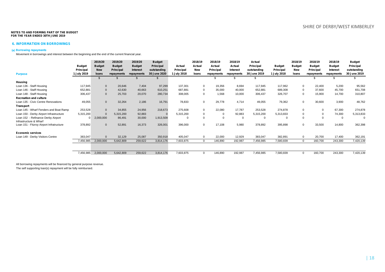### **6. INFORMATION ON BORROWINGS**

### **(a) Borrowing repayments**

Movement in borrowings and interest between the beginning and the end of the current financial year.

|                                                              |               | 2019/20       | 2019/20       | 2019/20       | <b>Budget</b>    |                  | 2018/19    | 2018/19    | 2018/19    | Actual       |               | 2018/19       | 2018/19       | 2018/19       | <b>Budget</b> |
|--------------------------------------------------------------|---------------|---------------|---------------|---------------|------------------|------------------|------------|------------|------------|--------------|---------------|---------------|---------------|---------------|---------------|
|                                                              | <b>Budget</b> | <b>Budget</b> | <b>Budget</b> | <b>Budget</b> | <b>Principal</b> | Actual           | Actual     | Actual     | Actual     | Principal    | <b>Budget</b> | <b>Budget</b> | <b>Budget</b> | <b>Budget</b> | Principal     |
|                                                              | Principal     | <b>New</b>    | Principal     | Interest      | outstanding      | Principal        | <b>New</b> | Principal  | Interest   | outstanding  | Principal     | <b>New</b>    | Principal     | Interest      | outstanding   |
| <b>Purpose</b>                                               | 1 July 2019   | loans         | repayments    | repayments    | 30 June 2020     | <b>July 2018</b> | loans      | repayments | repayments | 30 June 2019 | 1 July 2018   | loans         | repayments    | repayments    | 30 June 2019  |
|                                                              |               |               |               |               |                  |                  |            |            |            |              |               |               |               |               |               |
| Housing                                                      |               |               |               |               |                  |                  |            |            |            |              |               |               |               |               |               |
| Loan 136 - Staff Housing                                     | 117,945       | $\mathbf{0}$  | 20,646        | 7.404         | 97,299           | 137,301          | $\Omega$   | 19,356     | 8,694      | 117.945      | 117,962       | $\Omega$      | 22,400        | 5.200         | 95,562        |
| Loan 146 - Staff Housing                                     | 652,881       | $\mathbf{0}$  | 42,630        | 40,663        | 610,251          | 687,881          | $\Omega$   | 35,000     | 40,000     | 652.881      | 689,308       | $\mathbf 0$   | 37.600        | 45,700        | 651,708       |
| Loan 148 - Staff Housing                                     | 306,437       | $\Omega$      | 25,703        | 20,070        | 280,734          | 308,005          | $\Omega$   | 1.568      | 10,000     | 306,437      | 326,707       | $\mathbf 0$   | 15,900        | 14,700        | 310,807       |
| <b>Recreation and culture</b>                                |               |               |               |               |                  |                  |            |            |            |              |               |               |               |               |               |
| Loan 135 - Civic Centre Renovations                          | 49,055        | $\Omega$      | 32,264        | 2,186         | 16,791           | 78,833           | $\Omega$   | 29,778     | 4,714      | 49,055       | 79,362        | $\mathbf{0}$  | 30,600        | 3,900         | 48,762        |
| <b>Transport</b>                                             |               |               |               |               |                  |                  |            |            |            |              |               |               |               |               |               |
| Loan 145 - Wharf Fenders and Boat Ramp                       | 253,528       | $\Omega$      | 34,855        | 24,956        | 218,673          | 275.608          | $\Omega$   | 22,080     | 17,787     | 253,528      | 274,878       | $\Omega$      |               | 67,300        | 274,878       |
| Loan 150 - Derby Airport Infrastructure                      | 5,315,200     |               | 5,315,200     | 92,883        |                  | 5,315,200        | $\Omega$   |            | 92,883     | 5,315,200    | 5,313,833     | $\Omega$      |               | 74,300        | 5,313,833     |
| Loan 152 - Refinance Derby Airport<br>Infrastructure & Wharf | O             | 2,000,000     | 86,491        | 30,000        | 1,913,509        |                  |            |            | $\Omega$   | $\Omega$     | 0             | $\Omega$      |               | - 0           | $\Omega$      |
| Loan 151 - Fitzroy Airport Infratructure                     | 378,892       | $\Omega$      | 52,891        | 16,373        | 326,001          | 396,000          | $\Omega$   | 17,108     | 5,980      | 378,892      | 395,898       | $\Omega$      | 33,500        | 14,800        | 362,398       |
| <b>Economic services</b>                                     |               |               |               |               |                  |                  |            |            |            |              |               |               |               |               |               |
| Loan 149 - Derby Visitors Centre                             | 383,047       | $\Omega$      | 32,129        | 25,087        | 350,918          | 405,047          | $\Omega$   | 22,000     | 12,929     | 383,047      | 382,891       | $\Omega$      | 20,700        | 17,400        | 362,191       |
|                                                              | 7,456,985     | 2,000,000     | 5,642,809     | 259,622       | 3,814,176        | 7,603,875        | $\Omega$   | 146,890    | 192,987    | 7,456,985    | 7,580,839     | $\Omega$      | 160,700       | 243,300       | 7,420,139     |
|                                                              |               |               |               |               |                  |                  |            |            |            |              |               |               |               |               |               |
|                                                              | 7,456,985     | 2,000,000     | 5,642,809     | 259,622       | 3,814,176        | 7,603,875        | $\Omega$   | 146,890    | 192,987    | 7,456,985    | 7,580,839     | $\Omega$      | 160,700       | 243,300       | 7,420,139     |

All borrowing repayments will be financed by general purpose revenue. The self supporting loan(s) repayment will be fully reimbursed.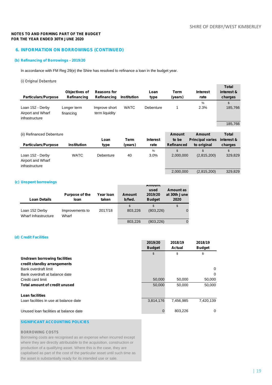2,000,000 (2,815,200) 329,829

### **NOTES TO AND FORMING PART OF THE BUDGET FOR THE YEAR ENDED 30TH JUNE 2020**

# **6. INFORMATION ON BORROWINGS (CONTINUED)**

### **(b) Refinancing of Borrowings - 2019/20**

In accordance with FM Reg 29(e) the Shire has resolved to refinance a loan in the budget year.

### *(i) Original Debenture*

| <b>Particulars/Purpose</b>                              | Objectives of<br>Refinancing | <b>Reasons for</b><br>Refinancing | <b>Institution</b>     | Loan<br>type            | Term<br>(years)             | <b>Interest</b><br>rate                | <b>Total</b><br>interest &<br>charges |
|---------------------------------------------------------|------------------------------|-----------------------------------|------------------------|-------------------------|-----------------------------|----------------------------------------|---------------------------------------|
| Loan 152 - Derby<br>Airport and Wharf<br>infrastructure | Longer term<br>financing     | Improve short<br>term liquidity   | <b>WATC</b>            | Debenture               | 1                           | $\%$<br>2.3%                           | \$<br>185,766                         |
| (ii) Refinanced Debenture                               |                              |                                   |                        |                         | <b>Amount</b>               | Amount                                 | 185,766<br>Total                      |
| <b>Particulars/Purpose</b>                              | <b>Institution</b>           | Loan<br>type                      | <b>Term</b><br>(years) | <b>Interest</b><br>rate | to be<br><b>Refinanced</b>  | <b>Principal varies</b><br>to original | interest &<br>charges                 |
| Loan 152 - Derby<br>Airport and Wharf<br>infrastructure | <b>WATC</b>                  | Debenture                         | 40                     | %<br>3.0%               | $\mathfrak{L}$<br>2,000,000 | $\mathfrak{L}$<br>(2,815,200)          | \$<br>329,829                         |

### **(c) Unspent borrowings**

| <b>Loan Details</b>                    | Purpose of the<br>loan   | Year Ioan<br>taken | Amount<br>b/fwd. | <b>Amount</b><br>used<br>2019/20<br><b>Budget</b> | Amount as<br>at 30th June<br>2020 |
|----------------------------------------|--------------------------|--------------------|------------------|---------------------------------------------------|-----------------------------------|
| Loan 152 Derby<br>Wharf Infrastructure | Improvements to<br>Wharf | 2017/18            | \$<br>803.226    | (803.226)                                         | \$                                |
|                                        |                          |                    | 803,226          | (803, 226)                                        |                                   |

### **(d) Credit Facilities**

|                                        | 2019/20<br><b>Budget</b> | 2018/19<br><b>Actual</b> | 2018/19<br><b>Budget</b> |
|----------------------------------------|--------------------------|--------------------------|--------------------------|
|                                        | \$                       | \$                       | \$                       |
| Undrawn borrowing facilities           |                          |                          |                          |
| credit standby arrangements            |                          |                          |                          |
| Bank overdraft limit                   |                          |                          | 0                        |
| Bank overdraft at balance date         |                          |                          | 0                        |
| Credit card limit                      | 50,000                   | 50,000                   | 50,000                   |
| Total amount of credit unused          | 50,000                   | 50.000                   | 50,000                   |
| Loan facilities                        |                          |                          |                          |
| Loan facilities in use at balance date | 3,814,176                | 7,456,985                | 7,420,139                |
| Unused Ioan facilities at balance date |                          | 803,226                  | 0                        |

# **SIGNIFICANT ACCOUNTING POLICIES**

### **BORROWING COSTS**

Borrowing costs are recognised as an expense when incurred except where they are directly attributable to the acquisition, construction or production of a qualifying asset. Where this is the case, they are capitalised as part of the cost of the particular asset until such time as the asset is substantially ready for its intended use or sale.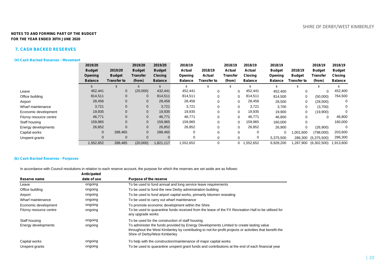### **7. CASH BACKED RESERVES**

### **(a) Cash Backed Reserves - Movement**

|                         | 2019/20        |               | 2019/20       | 2019/20        | 2018/19        |               | 2018/19     | 2018/19        | 2018/19        |               | 2018/19             | 2018/19        |
|-------------------------|----------------|---------------|---------------|----------------|----------------|---------------|-------------|----------------|----------------|---------------|---------------------|----------------|
|                         | <b>Budget</b>  | 2019/20       | <b>Budget</b> | <b>Budget</b>  | Actual         | 2018/19       | Actual      | Actual         | <b>Budget</b>  | 2018/19       | <b>Budget</b>       | <b>Budget</b>  |
|                         | Opening        | <b>Budget</b> | Transfer      | <b>Closing</b> | Opening        | <b>Actual</b> | Transfer    | <b>Closing</b> | Opening        | <b>Budget</b> | <b>Transfer</b>     | <b>Closing</b> |
|                         | <b>Balance</b> | Transfer to   | (from)        | <b>Balance</b> | <b>Balance</b> | Transfer to   | (from)      | <b>Balance</b> | <b>Balance</b> | Transfer to   | (from)              | <b>Balance</b> |
|                         |                |               |               |                |                |               |             |                |                |               |                     |                |
| Leave                   | 452,441        | $\mathbf 0$   | (20,000)      | 432,441        | 452,441        | 0             | 0           | 452,441        | 452,400        | $\mathbf 0$   | 0                   | 452,400        |
| Office building         | 814,511        | $\mathbf{0}$  | 0             | 814,511        | 814,511        | $\Omega$      | $\Omega$    | 814,511        | 814,500        | 0             | (50,000)            | 764,500        |
| Airport                 | 28,456         | $\mathbf{0}$  | 0             | 28,456         | 28,456         | 0             | 0           | 28,456         | 28,500         | $\mathbf 0$   | (28, 500)           |                |
| Wharf maintenance       | 3,721          | $\mathbf 0$   | 0             | 3,721          | 3,721          | $\Omega$      | 0           | 3,721          | 3,700          | 0             | (3,700)             |                |
| Economic development    | 19,935         | $\Omega$      | $\mathbf{0}$  | 19,935         | 19,935         | $\Omega$      | $\Omega$    | 19,935         | 19,900         | 0             | (19,900)            | $\Omega$       |
| Fitzroy resource centre | 46,771         | $\mathbf{0}$  | 0             | 46,771         | 46,771         | $\Omega$      | 0           | 46,771         | 46,800         | 0             | 0                   | 46,800         |
| Staff housing           | 159,965        | $\mathbf 0$   | 0             | 159,965        | 159,965        | $\Omega$      | $\mathbf 0$ | 159,965        | 160,000        | $\mathbf 0$   |                     | 160,000        |
| Energy developments     | 26,852         |               | $\mathbf{0}$  | 26,852         | 26,852         | $\Omega$      | 0           | 26,852         | 26,900         | 0             | (26,900)            | 0              |
| Capital works           | 0              | 288,465       | 0             | 288,465        | $\Omega$       | $\Omega$      |             |                | 0              | 1,001,600     | (798,000)           | 203,600        |
| Unspent grants          | 0              | $\Omega$      | $\Omega$      |                | $\mathbf 0$    | $\Omega$      |             | 0              | 5,375,500      | 286,300       | (5,375,500)         | 286,300        |
|                         | 1,552,652      | 288,465       | (20,000)      | 1,821,117      | 1,552,652      | $\Omega$      |             | 1,552,652      | 6,928,200      |               | (6,302,500) 287,900 | 1,913,600      |

### **(b) Cash Backed Reserves - Purposes**

In accordance with Council resolutions in relation to each reserve account, the purpose for which the reserves are set aside are as follows:

| date of use | Purpose of the reserve                                                                                                                                                                                                              |
|-------------|-------------------------------------------------------------------------------------------------------------------------------------------------------------------------------------------------------------------------------------|
| ongoing     | To be used to fund annual and long service leave requirements                                                                                                                                                                       |
| ongoing     | To be used to fund the new Derby administration building                                                                                                                                                                            |
| ongoing     | To be used to fund airport capital works, primarily bitumen resealing                                                                                                                                                               |
| ongoing     | To be used to carry out wharf maintenance                                                                                                                                                                                           |
| ongoing     | To promote economic development within the Shire                                                                                                                                                                                    |
| ongoing     | To be used to quarantine funds received from the lease of the FX Recreation Hall to be utilised for<br>any upgrade works                                                                                                            |
| ongoing     | To be used for the construction of staff housing                                                                                                                                                                                    |
| ongoing     | To administer the funds provided by Energy Developments Limited to create lasting value<br>throughout the West Kimberley by contributing to not-for-profit projects or activities that benefit the<br>Shire of Derby/West Kimberley |
| ongoing     | To help with the construction/maintenance of major capital works                                                                                                                                                                    |
| ongoing     | To be used to quarantine unspent grant funds and contributions at the end of each financial year                                                                                                                                    |
|             | Anticipated                                                                                                                                                                                                                         |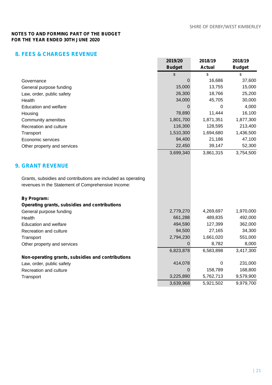# **8. FEES & CHARGES REVENUE**

|                                                               | 2019/20<br><b>Budget</b> | 2018/19<br><b>Actual</b> | 2018/19<br><b>Budget</b> |
|---------------------------------------------------------------|--------------------------|--------------------------|--------------------------|
|                                                               | \$                       | \$                       | \$                       |
| Governance                                                    | $\Omega$                 | 16,686                   | 37,600                   |
| General purpose funding                                       | 15,000                   | 13,755                   | 15,000                   |
| Law, order, public safety                                     | 26,300                   | 18,766                   | 25,200                   |
| Health                                                        | 34,000                   | 45,705                   | 30,000                   |
| <b>Education and welfare</b>                                  | $\Omega$                 | $\Omega$                 | 4,000                    |
| Housing                                                       | 78,890                   | 11,444                   | 16,100                   |
| Community amenities                                           | 1,801,700                | 1,871,351                | 1,877,300                |
| Recreation and culture                                        | 116,300                  | 128,595                  | 213,400                  |
| Transport                                                     | 1,510,300                | 1,694,680                | 1,436,500                |
| Economic services                                             | 94,400                   | 21,186                   | 47,100                   |
| Other property and services                                   | 22,450                   | 39,147                   | 52,300                   |
|                                                               | 3,699,340                | 3,861,315                | 3,754,500                |
| <b>9. GRANT REVENUE</b>                                       |                          |                          |                          |
| Grants, subsidies and contributions are included as operating |                          |                          |                          |
| revenues in the Statement of Comprehensive Income:            |                          |                          |                          |
| <b>By Program:</b>                                            |                          |                          |                          |
| Operating grants, subsidies and contributions                 |                          |                          |                          |
| General purpose funding                                       | 2,779,270                | 4,269,697                | 1,970,000                |
| Health                                                        | 661,288                  | 489,835                  | 492,000                  |
| <b>Education and welfare</b>                                  | 494,590                  | 127,399                  | 362,000                  |
| Recreation and culture                                        | 94,500                   | 27,165                   | 34,300                   |
| Transport                                                     | 2,794,230                | 1,661,020                | 551,000                  |
| Other property and services                                   | $\Omega$                 | 8,782                    | 8,000                    |
|                                                               | 6,823,878                | 6,583,898                | 3,417,300                |
| Non-operating grants, subsidies and contributions             |                          |                          |                          |
| Law, order, public safety                                     | 414,078                  | $\pmb{0}$                | 231,000                  |
| Recreation and culture                                        | 0                        | 158,789                  | 168,800                  |
| Transport                                                     | 3,225,890                | 5,762,713                | 9,579,900                |
|                                                               | 3,639,968                | 5,921,502                | 9,979,700                |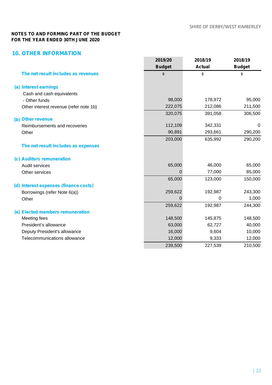# **10. OTHER INFORMATION**

|                                        | 2019/20<br><b>Budget</b> | 2018/19<br><b>Actual</b> | 2018/19<br><b>Budget</b> |
|----------------------------------------|--------------------------|--------------------------|--------------------------|
| The net result includes as revenues    | \$                       | \$                       | \$                       |
| (a) Interest earnings                  |                          |                          |                          |
| Cash and cash equivalents              |                          |                          |                          |
| - Other funds                          | 98,000                   | 178,972                  | 95,000                   |
| Other interest revenue (refer note 1b) | 222,075                  | 212,086                  | 211,500                  |
|                                        | 320,075                  | 391,058                  | 306,500                  |
| (b) Other revenue                      |                          |                          |                          |
| Reimbursements and recoveries          | 112,109                  | 342,331                  | 0                        |
| Other                                  | 90,891                   | 293,661                  | 290,200                  |
|                                        | 203,000                  | 635,992                  | 290,200                  |
| The net result includes as expenses    |                          |                          |                          |
| (c) Auditors remuneration              |                          |                          |                          |
| Audit services                         | 65,000                   | 46,000                   | 65,000                   |
| Other services                         | 0                        | 77,000                   | 85,000                   |
|                                        | 65,000                   | 123,000                  | 150,000                  |
| (d) Interest expenses (finance costs)  |                          |                          |                          |
| Borrowings (refer Note 6(a))           | 259,622                  | 192,987                  | 243,300                  |
| Other                                  | 0                        | 0                        | 1,000                    |
|                                        | 259,622                  | 192,987                  | 244,300                  |
| (e) Elected members remuneration       |                          |                          |                          |
| Meeting fees                           | 148,500                  | 145,875                  | 148,500                  |
| President's allowance                  | 63,000                   | 62,727                   | 40,000                   |
| Deputy President's allowance           | 16,000                   | 9,604                    | 10,000                   |
| Telecommunications allowance           | 12,000                   | 9,333                    | 12,000                   |
|                                        | 239,500                  | 227,539                  | 210,500                  |
|                                        |                          |                          |                          |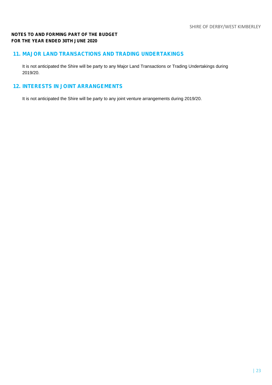# **11. MAJOR LAND TRANSACTIONS AND TRADING UNDERTAKINGS**

It is not anticipated the Shire will be party to any Major Land Transactions or Trading Undertakings during 2019/20.

# **12. INTERESTS IN JOINT ARRANGEMENTS**

It is not anticipated the Shire will be party to any joint venture arrangements during 2019/20.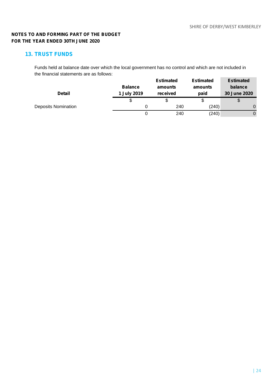# **13. TRUST FUNDS**

Funds held at balance date over which the local government has no control and which are not included in the financial statements are as follows: **Estimated Estimated Estimated**

|                            |                | Estimated | Estimated | Estimated    |
|----------------------------|----------------|-----------|-----------|--------------|
|                            | <b>Balance</b> | amounts   | amounts   | balance      |
| <b>Detail</b>              | 1 July 2019    | received  | paid      | 30 June 2020 |
|                            |                |           | ง         | \$           |
| <b>Deposits Nomination</b> |                | 240       | (240)     |              |
|                            |                | 240       | (240)     |              |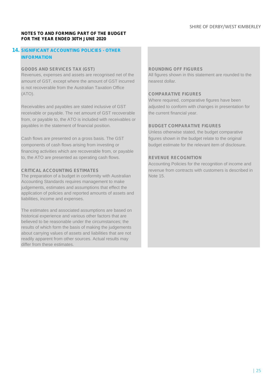# **14. SIGNIFICANT ACCOUNTING POLICIES - OTHER INFORMATION**

# **GOODS AND SERVICES TAX (GST) ROUNDING OFF FIGURES**

amount of GST, except where the amount of GST incurred nearest dollar. is not recoverable from the Australian Taxation Office (ATO). **COMPARATIVE FIGURES**

Receivables and payables are stated inclusive of GST adjusted to conform with changes in presentation for receivable or payable. The net amount of GST recoverable the current financial year. from, or payable to, the ATO is included with receivables or payables in the statement of financial position. **BUDGET COMPARATIVE FIGURES**

Cash flows are presented on a gross basis. The GST figures shown in the budget relate to the original components of cash flows arising from investing or budget estimate for the relevant item of disclosure. financing activities which are recoverable from, or payable to, the ATO are presented as operating cash flows. **REVENUE RECOGNITION**

The preparation of a budget in conformity with Australian Note 15. Accounting Standards requires management to make judgements, estimates and assumptions that effect the application of policies and reported amounts of assets and liabilities, income and expenses.

The estimates and associated assumptions are based on historical experience and various other factors that are believed to be reasonable under the circumstances; the results of which form the basis of making the judgements about carrying values of assets and liabilities that are not readily apparent from other sources. Actual results may differ from these estimates.

Revenues, expenses and assets are recognised net of the All figures shown in this statement are rounded to the

Where required, comparative figures have been

Unless otherwise stated, the budget comparative

Accounting Policies for the recognition of income and **CRITICAL ACCOUNTING ESTIMATES** revenue from contracts with customers is described in